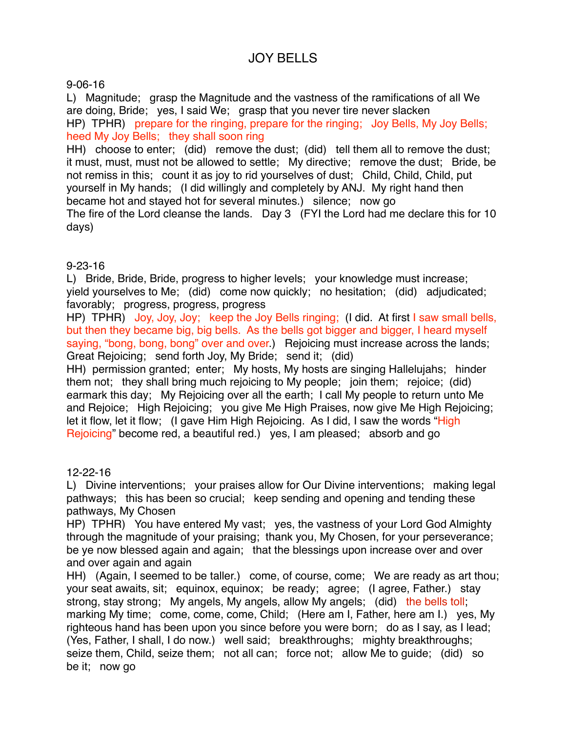# JOY BELLS

### 9-06-16

L) Magnitude; grasp the Magnitude and the vastness of the ramifications of all We are doing, Bride; yes, I said We; grasp that you never tire never slacken HP) TPHR) prepare for the ringing, prepare for the ringing; Joy Bells, My Joy Bells; heed My Joy Bells; they shall soon ring HH) choose to enter; (did) remove the dust; (did) tell them all to remove the dust; it must, must, must not be allowed to settle; My directive; remove the dust; Bride, be not remiss in this; count it as joy to rid yourselves of dust; Child, Child, Child, put yourself in My hands; (I did willingly and completely by ANJ. My right hand then

became hot and stayed hot for several minutes.) silence; now go The fire of the Lord cleanse the lands. Day 3 (FYI the Lord had me declare this for 10 days)

## 9-23-16

L) Bride, Bride, Bride, progress to higher levels; your knowledge must increase; yield yourselves to Me; (did) come now quickly; no hesitation; (did) adjudicated; favorably; progress, progress, progress

HP) TPHR) Joy, Joy, Joy; keep the Joy Bells ringing; (I did. At first I saw small bells, but then they became big, big bells. As the bells got bigger and bigger, I heard myself saying, "bong, bong, bong" over and over.) Rejoicing must increase across the lands; Great Rejoicing; send forth Joy, My Bride; send it; (did)

HH) permission granted; enter; My hosts, My hosts are singing Hallelujahs; hinder them not; they shall bring much rejoicing to My people; join them; rejoice; (did) earmark this day; My Rejoicing over all the earth; I call My people to return unto Me and Rejoice; High Rejoicing; you give Me High Praises, now give Me High Rejoicing; let it flow, let it flow; (I gave Him High Rejoicing. As I did, I saw the words "High Rejoicing" become red, a beautiful red.) yes, I am pleased; absorb and go

#### 12-22-16

L) Divine interventions; your praises allow for Our Divine interventions; making legal pathways; this has been so crucial; keep sending and opening and tending these pathways, My Chosen

HP) TPHR) You have entered My vast; yes, the vastness of your Lord God Almighty through the magnitude of your praising; thank you, My Chosen, for your perseverance; be ye now blessed again and again; that the blessings upon increase over and over and over again and again

HH) (Again, I seemed to be taller.) come, of course, come; We are ready as art thou; your seat awaits, sit; equinox, equinox; be ready; agree; (I agree, Father.) stay strong, stay strong; My angels, My angels, allow My angels; (did) the bells toll; marking My time; come, come, come, Child; (Here am I, Father, here am I.) yes, My righteous hand has been upon you since before you were born; do as I say, as I lead; (Yes, Father, I shall, I do now.) well said; breakthroughs; mighty breakthroughs; seize them, Child, seize them; not all can; force not; allow Me to guide; (did) so be it; now go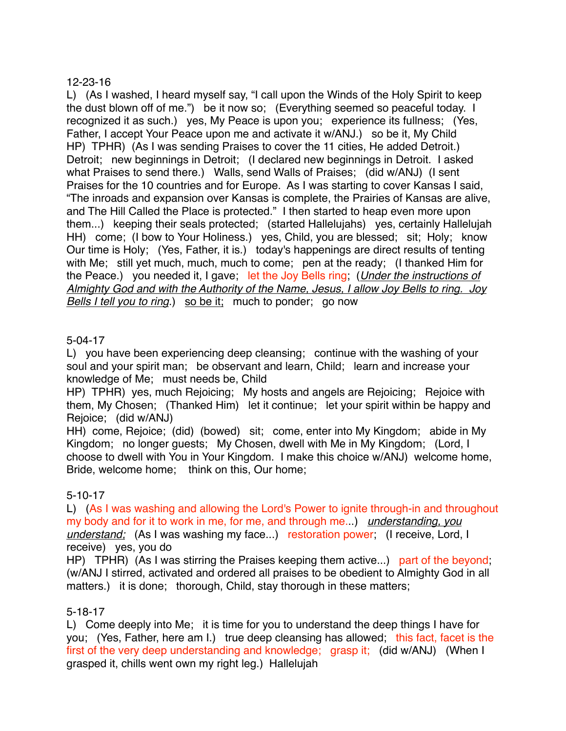## 12-23-16

L) (As I washed, I heard myself say, "I call upon the Winds of the Holy Spirit to keep the dust blown off of me.") be it now so; (Everything seemed so peaceful today. I recognized it as such.) yes, My Peace is upon you; experience its fullness; (Yes, Father, I accept Your Peace upon me and activate it w/ANJ.) so be it, My Child HP) TPHR) (As I was sending Praises to cover the 11 cities, He added Detroit.) Detroit; new beginnings in Detroit; (I declared new beginnings in Detroit. I asked what Praises to send there.) Walls, send Walls of Praises; (did w/ANJ) (I sent Praises for the 10 countries and for Europe. As I was starting to cover Kansas I said, "The inroads and expansion over Kansas is complete, the Prairies of Kansas are alive, and The Hill Called the Place is protected." I then started to heap even more upon them...) keeping their seals protected; (started Hallelujahs) yes, certainly Hallelujah HH) come; (I bow to Your Holiness.) yes, Child, you are blessed; sit; Holy; know Our time is Holy; (Yes, Father, it is.) today's happenings are direct results of tenting with Me; still yet much, much, much to come; pen at the ready; (I thanked Him for the Peace.) you needed it, I gave; let the Joy Bells ring; (*Under the instructions of Almighty God and with the Authority of the Name, Jesus, I allow Joy Bells to ring. Joy Bells I tell you to ring.*) so be it; much to ponder; go now

## 5-04-17

L) you have been experiencing deep cleansing; continue with the washing of your soul and your spirit man; be observant and learn, Child; learn and increase your knowledge of Me; must needs be, Child

HP) TPHR) yes, much Rejoicing; My hosts and angels are Rejoicing; Rejoice with them, My Chosen; (Thanked Him) let it continue; let your spirit within be happy and Rejoice; (did w/ANJ)

HH) come, Rejoice; (did) (bowed) sit; come, enter into My Kingdom; abide in My Kingdom; no longer guests; My Chosen, dwell with Me in My Kingdom; (Lord, I choose to dwell with You in Your Kingdom. I make this choice w/ANJ) welcome home, Bride, welcome home; think on this, Our home;

#### 5-10-17

L) (As I was washing and allowing the Lord's Power to ignite through-in and throughout my body and for it to work in me, for me, and through me...) *understanding, you understand;* (As I was washing my face...) restoration power; (I receive, Lord, I receive) yes, you do

HP) TPHR) (As I was stirring the Praises keeping them active...) part of the beyond; (w/ANJ I stirred, activated and ordered all praises to be obedient to Almighty God in all matters.) it is done; thorough, Child, stay thorough in these matters;

#### 5-18-17

L) Come deeply into Me; it is time for you to understand the deep things I have for you; (Yes, Father, here am I.) true deep cleansing has allowed; this fact, facet is the first of the very deep understanding and knowledge; grasp it; (did w/ANJ) (When I grasped it, chills went own my right leg.) Hallelujah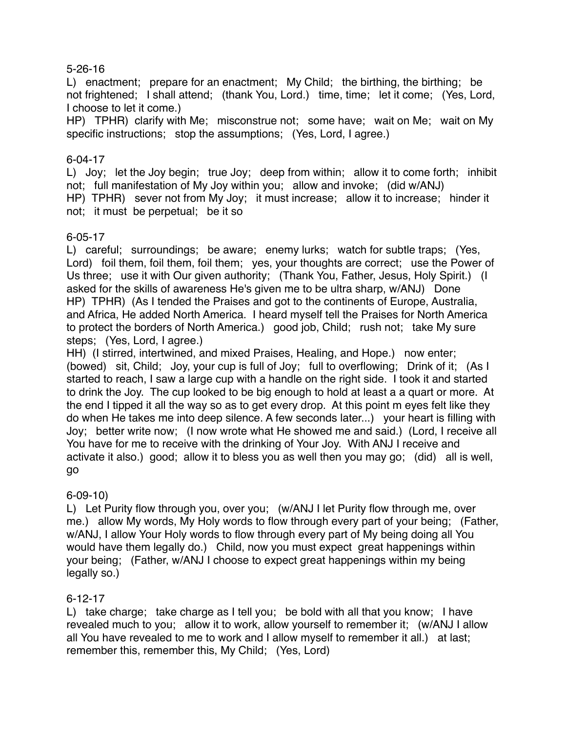### 5-26-16

L) enactment; prepare for an enactment; My Child; the birthing, the birthing; be not frightened; I shall attend; (thank You, Lord.) time, time; let it come; (Yes, Lord, I choose to let it come.)

HP) TPHR) clarify with Me; misconstrue not; some have; wait on Me; wait on My specific instructions; stop the assumptions; (Yes, Lord, I agree.)

## 6-04-17

L) Joy; let the Joy begin; true Joy; deep from within; allow it to come forth; inhibit not; full manifestation of My Joy within you; allow and invoke; (did w/ANJ) HP) TPHR) sever not from My Joy; it must increase; allow it to increase; hinder it not; it must be perpetual; be it so

## 6-05-17

L) careful; surroundings; be aware; enemy lurks; watch for subtle traps; (Yes, Lord) foil them, foil them, foil them; yes, your thoughts are correct; use the Power of Us three; use it with Our given authority; (Thank You, Father, Jesus, Holy Spirit.) (I asked for the skills of awareness He's given me to be ultra sharp, w/ANJ) Done HP) TPHR) (As I tended the Praises and got to the continents of Europe, Australia, and Africa, He added North America. I heard myself tell the Praises for North America to protect the borders of North America.) good job, Child; rush not; take My sure steps; (Yes, Lord, I agree.)

HH) (I stirred, intertwined, and mixed Praises, Healing, and Hope.) now enter; (bowed) sit, Child; Joy, your cup is full of Joy; full to overflowing; Drink of it; (As I started to reach, I saw a large cup with a handle on the right side. I took it and started to drink the Joy. The cup looked to be big enough to hold at least a a quart or more. At the end I tipped it all the way so as to get every drop. At this point m eyes felt like they do when He takes me into deep silence. A few seconds later...) your heart is filling with Joy; better write now; (I now wrote what He showed me and said.) (Lord, I receive all You have for me to receive with the drinking of Your Joy. With ANJ I receive and activate it also.) good; allow it to bless you as well then you may go; (did) all is well, go

#### 6-09-10)

L) Let Purity flow through you, over you; (w/ANJ I let Purity flow through me, over me.) allow My words, My Holy words to flow through every part of your being; (Father, w/ANJ, I allow Your Holy words to flow through every part of My being doing all You would have them legally do.) Child, now you must expect great happenings within your being; (Father, w/ANJ I choose to expect great happenings within my being legally so.)

## 6-12-17

L) take charge; take charge as I tell you; be bold with all that you know; I have revealed much to you; allow it to work, allow yourself to remember it; (w/ANJ I allow all You have revealed to me to work and I allow myself to remember it all.) at last; remember this, remember this, My Child; (Yes, Lord)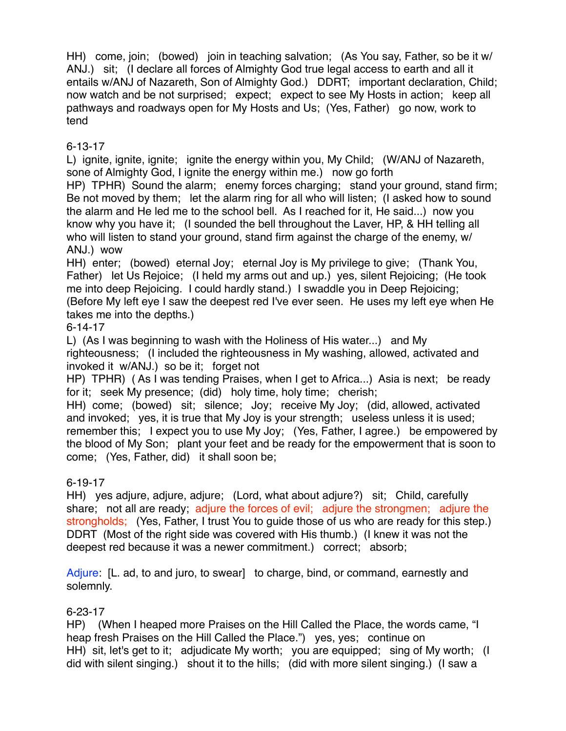HH) come, join; (bowed) join in teaching salvation; (As You say, Father, so be it w/ ANJ.) sit; (I declare all forces of Almighty God true legal access to earth and all it entails w/ANJ of Nazareth, Son of Almighty God.) DDRT; important declaration, Child; now watch and be not surprised; expect; expect to see My Hosts in action; keep all pathways and roadways open for My Hosts and Us; (Yes, Father) go now, work to tend

## 6-13-17

L) ignite, ignite, ignite; ignite the energy within you, My Child; (W/ANJ of Nazareth, sone of Almighty God, I ignite the energy within me.) now go forth

HP) TPHR) Sound the alarm; enemy forces charging; stand your ground, stand firm; Be not moved by them; let the alarm ring for all who will listen; (I asked how to sound the alarm and He led me to the school bell. As I reached for it, He said...) now you know why you have it; (I sounded the bell throughout the Laver, HP, & HH telling all who will listen to stand your ground, stand firm against the charge of the enemy, w/ ANJ.) wow

HH) enter; (bowed) eternal Joy; eternal Joy is My privilege to give; (Thank You, Father) let Us Rejoice; (I held my arms out and up.) yes, silent Rejoicing; (He took me into deep Rejoicing. I could hardly stand.) I swaddle you in Deep Rejoicing; (Before My left eye I saw the deepest red I've ever seen. He uses my left eye when He takes me into the depths.)

6-14-17

L) (As I was beginning to wash with the Holiness of His water...) and My

righteousness; (I included the righteousness in My washing, allowed, activated and invoked it w/ANJ.) so be it; forget not

HP) TPHR) ( As I was tending Praises, when I get to Africa...) Asia is next; be ready for it; seek My presence; (did) holy time, holy time; cherish;

HH) come; (bowed) sit; silence; Joy; receive My Joy; (did, allowed, activated and invoked; yes, it is true that My Joy is your strength; useless unless it is used; remember this; I expect you to use My Joy; (Yes, Father, I agree.) be empowered by the blood of My Son; plant your feet and be ready for the empowerment that is soon to come; (Yes, Father, did) it shall soon be;

## 6-19-17

HH) yes adjure, adjure, adjure; (Lord, what about adjure?) sit; Child, carefully share; not all are ready; adjure the forces of evil; adjure the strongmen; adjure the strongholds; (Yes, Father, I trust You to guide those of us who are ready for this step.) DDRT (Most of the right side was covered with His thumb.) (I knew it was not the deepest red because it was a newer commitment.) correct; absorb;

Adjure: [L. ad, to and juro, to swear] to charge, bind, or command, earnestly and solemnly.

## 6-23-17

HP) (When I heaped more Praises on the Hill Called the Place, the words came, "I heap fresh Praises on the Hill Called the Place.") yes, yes; continue on HH) sit, let's get to it; adjudicate My worth; you are equipped; sing of My worth; (I did with silent singing.) shout it to the hills; (did with more silent singing.) (I saw a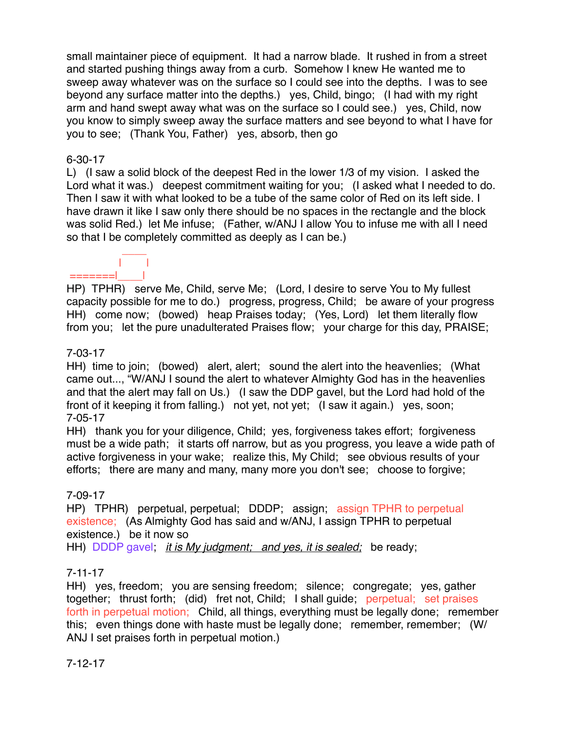small maintainer piece of equipment. It had a narrow blade. It rushed in from a street and started pushing things away from a curb. Somehow I knew He wanted me to sweep away whatever was on the surface so I could see into the depths. I was to see beyond any surface matter into the depths.) yes, Child, bingo; (I had with my right arm and hand swept away what was on the surface so I could see.) yes, Child, now you know to simply sweep away the surface matters and see beyond to what I have for you to see; (Thank You, Father) yes, absorb, then go

## 6-30-17

L) (I saw a solid block of the deepest Red in the lower 1/3 of my vision. I asked the Lord what it was.) deepest commitment waiting for you; (I asked what I needed to do. Then I saw it with what looked to be a tube of the same color of Red on its left side. I have drawn it like I saw only there should be no spaces in the rectangle and the block was solid Red.) let Me infuse; (Father, w/ANJ I allow You to infuse me with all I need so that I be completely committed as deeply as I can be.)

#### | | =======|\_\_\_\_|

 $\mathcal{L}=\mathcal{L}=\mathcal{L}=\mathcal{L}$ 

HP) TPHR) serve Me, Child, serve Me; (Lord, I desire to serve You to My fullest capacity possible for me to do.) progress, progress, Child; be aware of your progress HH) come now; (bowed) heap Praises today; (Yes, Lord) let them literally flow from you; let the pure unadulterated Praises flow; your charge for this day, PRAISE;

## 7-03-17

HH) time to join; (bowed) alert, alert; sound the alert into the heavenlies; (What came out..., "W/ANJ I sound the alert to whatever Almighty God has in the heavenlies and that the alert may fall on Us.) (I saw the DDP gavel, but the Lord had hold of the front of it keeping it from falling.) not yet, not yet; (I saw it again.) yes, soon; 7-05-17

HH) thank you for your diligence, Child; yes, forgiveness takes effort; forgiveness must be a wide path; it starts off narrow, but as you progress, you leave a wide path of active forgiveness in your wake; realize this, My Child; see obvious results of your efforts; there are many and many, many more you don't see; choose to forgive;

#### 7-09-17

HP) TPHR) perpetual, perpetual; DDDP; assign; assign TPHR to perpetual existence; (As Almighty God has said and w/ANJ, I assign TPHR to perpetual existence.) be it now so

HH) DDDP gavel; *it is My judgment; and yes, it is sealed;* be ready;

## 7-11-17

HH) yes, freedom; you are sensing freedom; silence; congregate; yes, gather together; thrust forth; (did) fret not, Child; I shall guide; perpetual; set praises forth in perpetual motion; Child, all things, everything must be legally done; remember this; even things done with haste must be legally done; remember, remember; (W/ ANJ I set praises forth in perpetual motion.)

## 7-12-17